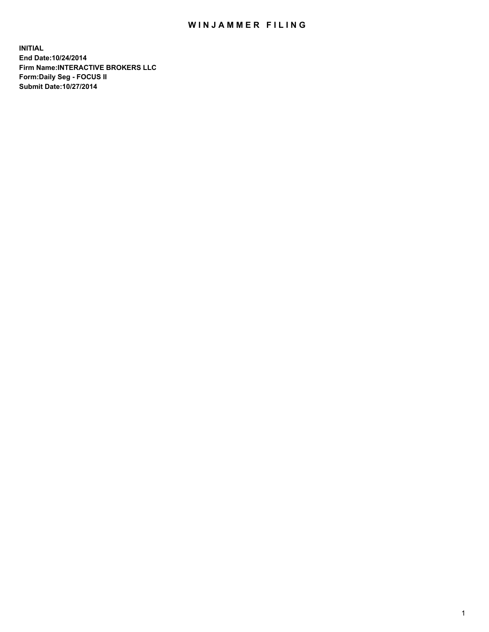## WIN JAMMER FILING

**INITIAL End Date:10/24/2014 Firm Name:INTERACTIVE BROKERS LLC Form:Daily Seg - FOCUS II Submit Date:10/27/2014**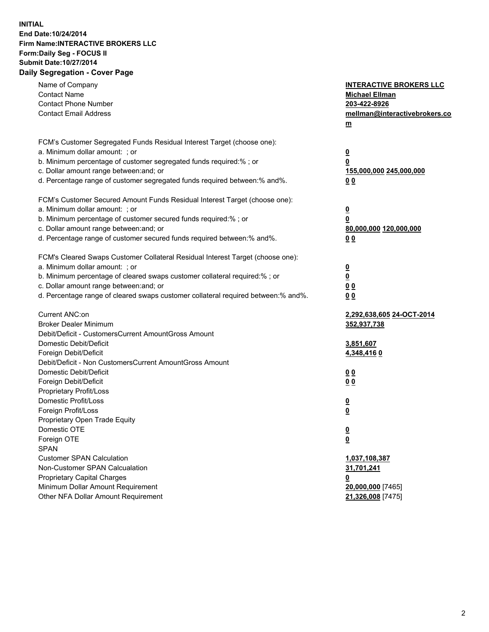## **INITIAL End Date:10/24/2014 Firm Name:INTERACTIVE BROKERS LLC Form:Daily Seg - FOCUS II Submit Date:10/27/2014 Daily Segregation - Cover Page**

| Name of Company<br><b>Contact Name</b><br><b>Contact Phone Number</b><br><b>Contact Email Address</b>                                                                                                                                                                                                                          | <b>INTERACTIVE BROKERS LLC</b><br><b>Michael Ellman</b><br>203-422-8926<br>mellman@interactivebrokers.co<br>$m$ |
|--------------------------------------------------------------------------------------------------------------------------------------------------------------------------------------------------------------------------------------------------------------------------------------------------------------------------------|-----------------------------------------------------------------------------------------------------------------|
| FCM's Customer Segregated Funds Residual Interest Target (choose one):<br>a. Minimum dollar amount: ; or<br>b. Minimum percentage of customer segregated funds required:% ; or<br>c. Dollar amount range between: and; or<br>d. Percentage range of customer segregated funds required between:% and%.                         | <u>0</u><br><u>0</u><br>155,000,000 245,000,000<br>0 <sub>0</sub>                                               |
| FCM's Customer Secured Amount Funds Residual Interest Target (choose one):<br>a. Minimum dollar amount: ; or<br>b. Minimum percentage of customer secured funds required:% ; or<br>c. Dollar amount range between: and; or<br>d. Percentage range of customer secured funds required between:% and%.                           | <u>0</u><br>0<br>80,000,000 120,000,000<br>0 <sub>0</sub>                                                       |
| FCM's Cleared Swaps Customer Collateral Residual Interest Target (choose one):<br>a. Minimum dollar amount: ; or<br>b. Minimum percentage of cleared swaps customer collateral required:% ; or<br>c. Dollar amount range between: and; or<br>d. Percentage range of cleared swaps customer collateral required between:% and%. | $\overline{\mathbf{0}}$<br>$\underline{\mathbf{0}}$<br>0 <sub>0</sub><br>0 <sub>0</sub>                         |
| Current ANC:on<br><b>Broker Dealer Minimum</b><br>Debit/Deficit - CustomersCurrent AmountGross Amount<br>Domestic Debit/Deficit<br>Foreign Debit/Deficit                                                                                                                                                                       | 2,292,638,605 24-OCT-2014<br>352,937,738<br>3,851,607<br>4,348,4160                                             |
| Debit/Deficit - Non CustomersCurrent AmountGross Amount<br>Domestic Debit/Deficit<br>Foreign Debit/Deficit<br>Proprietary Profit/Loss<br>Domestic Profit/Loss<br>Foreign Profit/Loss                                                                                                                                           | 0 <sub>0</sub><br>0 <sub>0</sub><br><u>0</u><br><u>0</u>                                                        |
| Proprietary Open Trade Equity<br>Domestic OTE<br>Foreign OTE<br><b>SPAN</b><br><b>Customer SPAN Calculation</b>                                                                                                                                                                                                                | <u>0</u><br><u>0</u><br>1,037,108,387                                                                           |
| Non-Customer SPAN Calcualation<br><b>Proprietary Capital Charges</b><br>Minimum Dollar Amount Requirement<br>Other NFA Dollar Amount Requirement                                                                                                                                                                               | 31,701,241<br><u>0</u><br>20,000,000 [7465]<br>21,326,008 [7475]                                                |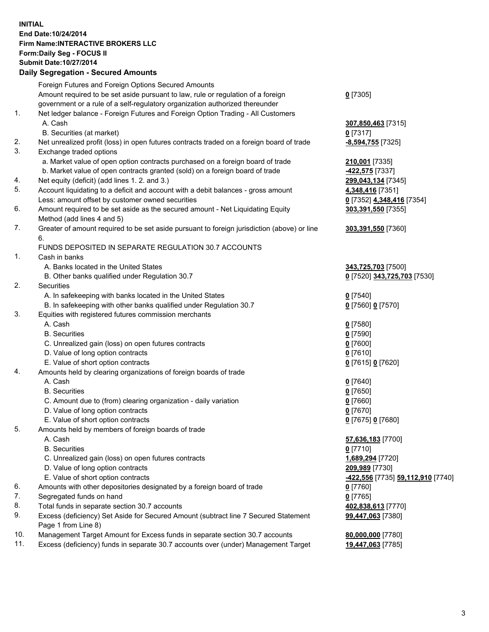## **INITIAL End Date:10/24/2014 Firm Name:INTERACTIVE BROKERS LLC Form:Daily Seg - FOCUS II Submit Date:10/27/2014 Daily Segregation - Secured Amounts**

|     | Foreign Futures and Foreign Options Secured Amounts                                         |                                  |
|-----|---------------------------------------------------------------------------------------------|----------------------------------|
|     | Amount required to be set aside pursuant to law, rule or regulation of a foreign            | $0$ [7305]                       |
|     | government or a rule of a self-regulatory organization authorized thereunder                |                                  |
| 1.  | Net ledger balance - Foreign Futures and Foreign Option Trading - All Customers             |                                  |
|     | A. Cash                                                                                     | 307,850,463 [7315]               |
|     | B. Securities (at market)                                                                   | $0$ [7317]                       |
| 2.  | Net unrealized profit (loss) in open futures contracts traded on a foreign board of trade   | -8,594,755 [7325]                |
| 3.  | Exchange traded options                                                                     |                                  |
|     | a. Market value of open option contracts purchased on a foreign board of trade              | 210,001 [7335]                   |
|     | b. Market value of open contracts granted (sold) on a foreign board of trade                | -422,575 [7337]                  |
| 4.  | Net equity (deficit) (add lines 1.2. and 3.)                                                | 299,043,134 [7345]               |
| 5.  | Account liquidating to a deficit and account with a debit balances - gross amount           | 4,348,416 [7351]                 |
|     | Less: amount offset by customer owned securities                                            | 0 [7352] 4,348,416 [7354]        |
| 6.  | Amount required to be set aside as the secured amount - Net Liquidating Equity              | 303,391,550 [7355]               |
|     | Method (add lines 4 and 5)                                                                  |                                  |
| 7.  | Greater of amount required to be set aside pursuant to foreign jurisdiction (above) or line | 303,391,550 [7360]               |
|     | 6.                                                                                          |                                  |
|     | FUNDS DEPOSITED IN SEPARATE REGULATION 30.7 ACCOUNTS                                        |                                  |
| 1.  | Cash in banks                                                                               |                                  |
|     | A. Banks located in the United States                                                       | 343,725,703 [7500]               |
|     | B. Other banks qualified under Regulation 30.7                                              | 0 [7520] 343,725,703 [7530]      |
| 2.  | Securities                                                                                  |                                  |
|     | A. In safekeeping with banks located in the United States                                   | $0$ [7540]                       |
|     | B. In safekeeping with other banks qualified under Regulation 30.7                          | 0 [7560] 0 [7570]                |
| 3.  | Equities with registered futures commission merchants                                       |                                  |
|     | A. Cash                                                                                     | $0$ [7580]                       |
|     | <b>B.</b> Securities                                                                        | $0$ [7590]                       |
|     | C. Unrealized gain (loss) on open futures contracts                                         | $0$ [7600]                       |
|     | D. Value of long option contracts                                                           | $0$ [7610]                       |
|     | E. Value of short option contracts                                                          | 0 [7615] 0 [7620]                |
| 4.  | Amounts held by clearing organizations of foreign boards of trade                           |                                  |
|     | A. Cash                                                                                     | $0$ [7640]                       |
|     | <b>B.</b> Securities                                                                        | $0$ [7650]                       |
|     | C. Amount due to (from) clearing organization - daily variation                             | $0$ [7660]                       |
|     | D. Value of long option contracts                                                           | $0$ [7670]                       |
|     | E. Value of short option contracts                                                          | 0 [7675] 0 [7680]                |
| 5.  | Amounts held by members of foreign boards of trade                                          |                                  |
|     | A. Cash                                                                                     | 57,636,183 [7700]                |
|     | <b>B.</b> Securities                                                                        | $0$ [7710]                       |
|     | C. Unrealized gain (loss) on open futures contracts                                         | 1,689,294 [7720]                 |
|     | D. Value of long option contracts                                                           | 209,989 [7730]                   |
|     | E. Value of short option contracts                                                          | 422,556 [7735] 59,112,910 [7740] |
| 6.  | Amounts with other depositories designated by a foreign board of trade                      | $0$ [7760]                       |
| 7.  | Segregated funds on hand                                                                    | $0$ [7765]                       |
| 8.  | Total funds in separate section 30.7 accounts                                               | 402,838,613 [7770]               |
| 9.  | Excess (deficiency) Set Aside for Secured Amount (subtract line 7 Secured Statement         | 99,447,063 [7380]                |
|     | Page 1 from Line 8)                                                                         |                                  |
| 10. | Management Target Amount for Excess funds in separate section 30.7 accounts                 | 80,000,000 [7780]                |
| 11. | Excess (deficiency) funds in separate 30.7 accounts over (under) Management Target          | 19,447,063 [7785]                |
|     |                                                                                             |                                  |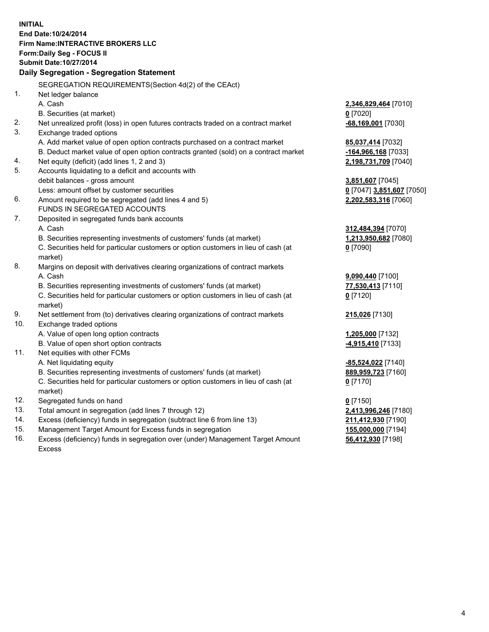**INITIAL End Date:10/24/2014 Firm Name:INTERACTIVE BROKERS LLC Form:Daily Seg - FOCUS II Submit Date:10/27/2014 Daily Segregation - Segregation Statement** SEGREGATION REQUIREMENTS(Section 4d(2) of the CEAct) 1. Net ledger balance A. Cash **2,346,829,464** [7010] B. Securities (at market) **0** [7020] 2. Net unrealized profit (loss) in open futures contracts traded on a contract market **-68,169,001** [7030] 3. Exchange traded options A. Add market value of open option contracts purchased on a contract market **85,037,414** [7032] B. Deduct market value of open option contracts granted (sold) on a contract market **-164,966,168** [7033] 4. Net equity (deficit) (add lines 1, 2 and 3) **2,198,731,709** [7040] 5. Accounts liquidating to a deficit and accounts with debit balances - gross amount **3,851,607** [7045] Less: amount offset by customer securities **0** [7047] **3,851,607** [7050] 6. Amount required to be segregated (add lines 4 and 5) **2,202,583,316** [7060] FUNDS IN SEGREGATED ACCOUNTS 7. Deposited in segregated funds bank accounts A. Cash **312,484,394** [7070] B. Securities representing investments of customers' funds (at market) **1,213,950,682** [7080] C. Securities held for particular customers or option customers in lieu of cash (at market) **0** [7090] 8. Margins on deposit with derivatives clearing organizations of contract markets A. Cash **9,090,440** [7100] B. Securities representing investments of customers' funds (at market) **77,530,413** [7110] C. Securities held for particular customers or option customers in lieu of cash (at market) **0** [7120] 9. Net settlement from (to) derivatives clearing organizations of contract markets **215,026** [7130] 10. Exchange traded options A. Value of open long option contracts **1,205,000** [7132] B. Value of open short option contracts **-4,915,410** [7133] 11. Net equities with other FCMs A. Net liquidating equity **-85,524,022** [7140] B. Securities representing investments of customers' funds (at market) **889,959,723** [7160] C. Securities held for particular customers or option customers in lieu of cash (at market) **0** [7170] 12. Segregated funds on hand **0** [7150] 13. Total amount in segregation (add lines 7 through 12) **2,413,996,246** [7180] 14. Excess (deficiency) funds in segregation (subtract line 6 from line 13) **211,412,930** [7190] 15. Management Target Amount for Excess funds in segregation **155,000,000** [7194]

16. Excess (deficiency) funds in segregation over (under) Management Target Amount Excess

**56,412,930** [7198]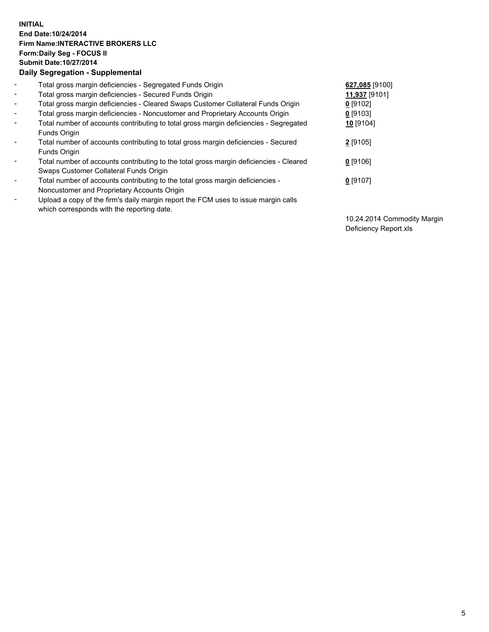## **INITIAL End Date:10/24/2014 Firm Name:INTERACTIVE BROKERS LLC Form:Daily Seg - FOCUS II Submit Date:10/27/2014 Daily Segregation - Supplemental**

| $\blacksquare$ | Total gross margin deficiencies - Segregated Funds Origin                              | 627,085 [9100] |
|----------------|----------------------------------------------------------------------------------------|----------------|
| $\blacksquare$ | Total gross margin deficiencies - Secured Funds Origin                                 | 11,937 [9101]  |
| $\blacksquare$ | Total gross margin deficiencies - Cleared Swaps Customer Collateral Funds Origin       | $0$ [9102]     |
| $\blacksquare$ | Total gross margin deficiencies - Noncustomer and Proprietary Accounts Origin          | $0$ [9103]     |
| $\blacksquare$ | Total number of accounts contributing to total gross margin deficiencies - Segregated  | 10 [9104]      |
|                | Funds Origin                                                                           |                |
| $\blacksquare$ | Total number of accounts contributing to total gross margin deficiencies - Secured     | 2 [9105]       |
|                | Funds Origin                                                                           |                |
| Ξ.             | Total number of accounts contributing to the total gross margin deficiencies - Cleared | $0$ [9106]     |
|                | Swaps Customer Collateral Funds Origin                                                 |                |
| -              | Total number of accounts contributing to the total gross margin deficiencies -         | $0$ [9107]     |
|                | Noncustomer and Proprietary Accounts Origin                                            |                |
| -              | Upload a copy of the firm's daily margin report the FCM uses to issue margin calls     |                |
|                | which corresponds with the reporting date.                                             |                |

10.24.2014 Commodity Margin Deficiency Report.xls